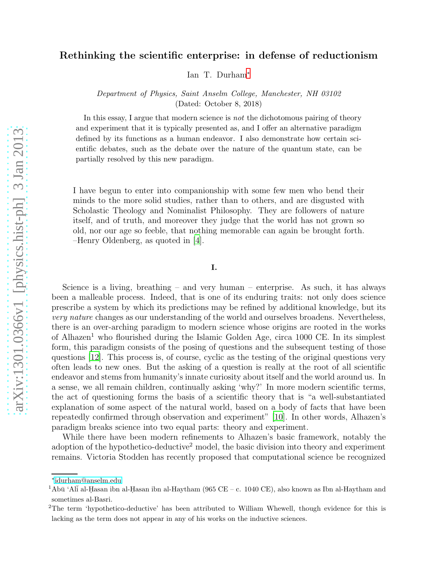## Rethinking the scientific enterprise: in defense of reductionism

Ian T. Durham[∗](#page-0-0)

*Department of Physics, Saint Anselm College, Manchester, NH 03102* (Dated: October 8, 2018)

In this essay, I argue that modern science is *not* the dichotomous pairing of theory and experiment that it is typically presented as, and I offer an alternative paradigm defined by its functions as a human endeavor. I also demonstrate how certain scientific debates, such as the debate over the nature of the quantum state, can be partially resolved by this new paradigm.

I have begun to enter into companionship with some few men who bend their minds to the more solid studies, rather than to others, and are disgusted with Scholastic Theology and Nominalist Philosophy. They are followers of nature itself, and of truth, and moreover they judge that the world has not grown so old, nor our age so feeble, that nothing memorable can again be brought forth. –Henry Oldenberg, as quoted in [\[4\]](#page-7-0).

## I.

Science is a living, breathing – and very human – enterprise. As such, it has always been a malleable process. Indeed, that is one of its enduring traits: not only does science prescribe a system by which its predictions may be refined by additional knowledge, but its *very nature* changes as our understanding of the world and ourselves broadens. Nevertheless, there is an over-arching paradigm to modern science whose origins are rooted in the works of Alhazen<sup>1</sup> who flourished during the Islamic Golden Age, circa 1000 CE. In its simplest form, this paradigm consists of the posing of questions and the subsequent testing of those questions [\[12](#page-7-1)]. This process is, of course, cyclic as the testing of the original questions very often leads to new ones. But the asking of a question is really at the root of all scientific endeavor and stems from humanity's innate curiosity about itself and the world around us. In a sense, we all remain children, continually asking 'why?' In more modern scientific terms, the act of questioning forms the basis of a scientific theory that is "a well-substantiated explanation of some aspect of the natural world, based on a body of facts that have been repeatedly confirmed through observation and experiment" [\[10\]](#page-7-2). In other words, Alhazen's paradigm breaks science into two equal parts: theory and experiment.

While there have been modern refinements to Alhazen's basic framework, notably the adoption of the hypothetico-deductive<sup>2</sup> model, the basic division into theory and experiment remains. Victoria Stodden has recently proposed that computational science be recognized

<span id="page-0-0"></span><sup>∗</sup> [idurham@anselm.edu](mailto:idurham@anselm.edu)

 $1Ab\bar{u}$  'Alī al-Ḥasan ibn al-Ḥasan ibn al-Haytham (965 CE – c. 1040 CE), also known as Ibn al-Haytham and sometimes al-Basri.

<sup>2</sup>The term 'hypothetico-deductive' has been attributed to William Whewell, though evidence for this is lacking as the term does not appear in any of his works on the inductive sciences.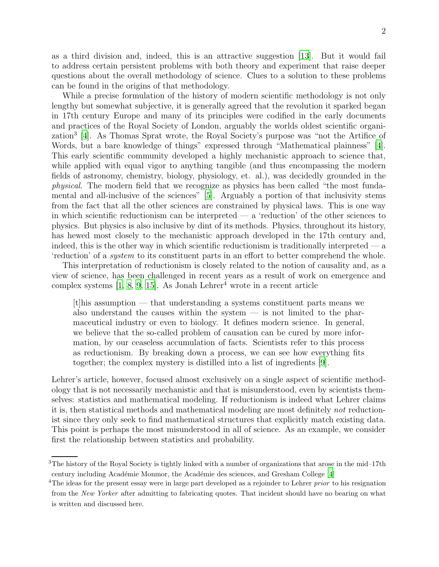as a third division and, indeed, this is an attractive suggestion [\[13](#page-7-3)]. But it would fail to address certain persistent problems with both theory and experiment that raise deeper questions about the overall methodology of science. Clues to a solution to these problems can be found in the origins of that methodology.

While a precise formulation of the history of modern scientific methodology is not only lengthy but somewhat subjective, it is generally agreed that the revolution it sparked began in 17th century Europe and many of its principles were codified in the early documents and practices of the Royal Society of London, arguably the worlds oldest scientific organi-zation<sup>3</sup> [\[4\]](#page-7-0). As Thomas Sprat wrote, the Royal Society's purpose was "not the Artifice of Words, but a bare knowledge of things" expressed through "Mathematical plainness" [\[4\]](#page-7-0). This early scientific community developed a highly mechanistic approach to science that, while applied with equal vigor to anything tangible (and thus encompassing the modern fields of astronomy, chemistry, biology, physiology, et. al.), was decidedly grounded in the physical. The modern field that we recognize as physics has been called "the most fundamental and all-inclusive of the sciences" [\[5\]](#page-7-4). Arguably a portion of that inclusivity stems from the fact that all the other sciences are constrained by physical laws. This is one way in which scientific reductionism can be interpreted — a 'reduction' of the other sciences to physics. But physics is also inclusive by dint of its methods. Physics, throughout its history, has hewed most closely to the mechanistic approach developed in the 17th century and, indeed, this is the other way in which scientific reductionism is traditionally interpreted — a 'reduction' of a system to its constituent parts in an effort to better comprehend the whole.

This interpretation of reductionism is closely related to the notion of causality and, as a view of science, has been challenged in recent years as a result of work on emergence and complex systems  $[1, 8, 9, 15]$  $[1, 8, 9, 15]$  $[1, 8, 9, 15]$  $[1, 8, 9, 15]$  $[1, 8, 9, 15]$  $[1, 8, 9, 15]$  $[1, 8, 9, 15]$ . As Jonah Lehrer<sup>4</sup> wrote in a recent article

[t]his assumption — that understanding a systems constituent parts means we also understand the causes within the system  $\frac{1}{10}$  is not limited to the pharmaceutical industry or even to biology. It defines modern science. In general, we believe that the so-called problem of causation can be cured by more information, by our ceaseless accumulation of facts. Scientists refer to this process as reductionism. By breaking down a process, we can see how everything fits together; the complex mystery is distilled into a list of ingredients [\[9](#page-7-7)].

Lehrer's article, however, focused almost exclusively on a single aspect of scientific methodology that is not necessarily mechanistic and that is misunderstood, even by scientists themselves: statistics and mathematical modeling. If reductionism is indeed what Lehrer claims it is, then statistical methods and mathematical modeling are most definitely not reductionist since they only seek to find mathematical structures that explicitly match existing data. This point is perhaps the most misunderstood in all of science. As an example, we consider first the relationship between statistics and probability.

<sup>3</sup>The history of the Royal Society is tightly linked with a number of organizations that arose in the mid–17th century including Académie Monmor, the Académie des sciences, and Gresham College [\[4\]](#page-7-0)

<sup>4</sup>The ideas for the present essay were in large part developed as a rejoinder to Lehrer *prior* to his resignation from the *New Yorker* after admitting to fabricating quotes. That incident should have no bearing on what is written and discussed here.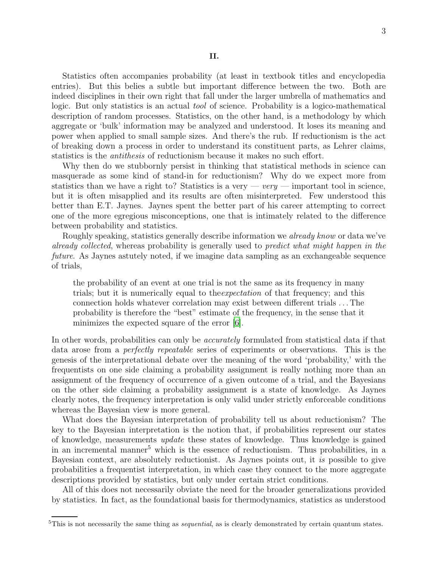Statistics often accompanies probability (at least in textbook titles and encyclopedia entries). But this belies a subtle but important difference between the two. Both are indeed disciplines in their own right that fall under the larger umbrella of mathematics and logic. But only statistics is an actual *tool* of science. Probability is a logico-mathematical description of random processes. Statistics, on the other hand, is a methodology by which aggregate or 'bulk' information may be analyzed and understood. It loses its meaning and power when applied to small sample sizes. And there's the rub. If reductionism is the act of breaking down a process in order to understand its constituent parts, as Lehrer claims, statistics is the antithesis of reductionism because it makes no such effort.

Why then do we stubbornly persist in thinking that statistical methods in science can masquerade as some kind of stand-in for reductionism? Why do we expect more from statistics than we have a right to? Statistics is a very —  $very$  — important tool in science, but it is often misapplied and its results are often misinterpreted. Few understood this better than E.T. Jaynes. Jaynes spent the better part of his career attempting to correct one of the more egregious misconceptions, one that is intimately related to the difference between probability and statistics.

Roughly speaking, statistics generally describe information we already know or data we've already collected, whereas probability is generally used to predict what might happen in the future. As Jaynes astutely noted, if we imagine data sampling as an exchangeable sequence of trials,

the probability of an event at one trial is not the same as its frequency in many trials; but it is numerically equal to theexpectation of that frequency; and this connection holds whatever correlation may exist between different trials . . . The probability is therefore the "best" estimate of the frequency, in the sense that it minimizes the expected square of the error [\[6\]](#page-7-9).

In other words, probabilities can only be *accurately* formulated from statistical data if that data arose from a perfectly repeatable series of experiments or observations. This is the genesis of the interpretational debate over the meaning of the word 'probability,' with the frequentists on one side claiming a probability assignment is really nothing more than an assignment of the frequency of occurrence of a given outcome of a trial, and the Bayesians on the other side claiming a probability assignment is a state of knowledge. As Jaynes clearly notes, the frequency interpretation is only valid under strictly enforceable conditions whereas the Bayesian view is more general.

What does the Bayesian interpretation of probability tell us about reductionism? The key to the Bayesian interpretation is the notion that, if probabilities represent our states of knowledge, measurements update these states of knowledge. Thus knowledge is gained in an incremental manner<sup>5</sup> which is the essence of reductionism. Thus probabilities, in a Bayesian context, are absolutely reductionist. As Jaynes points out, it is possible to give probabilities a frequentist interpretation, in which case they connect to the more aggregate descriptions provided by statistics, but only under certain strict conditions.

All of this does not necessarily obviate the need for the broader generalizations provided by statistics. In fact, as the foundational basis for thermodynamics, statistics as understood

<sup>5</sup>This is not necessarily the same thing as *sequential*, as is clearly demonstrated by certain quantum states.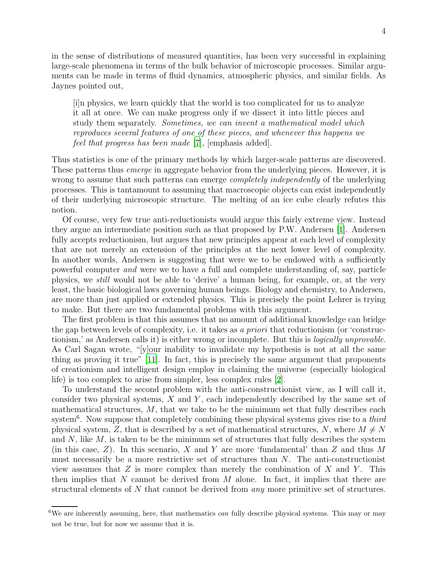in the sense of distributions of measured quantities, has been very successful in explaining large-scale phenomena in terms of the bulk behavior of microscopic processes. Similar arguments can be made in terms of fluid dynamics, atmospheric physics, and similar fields. As Jaynes pointed out,

[i]n physics, we learn quickly that the world is too complicated for us to analyze it all at once. We can make progress only if we dissect it into little pieces and study them separately. Sometimes, we can invent a mathematical model which reproduces several features of one of these pieces, and whenever this happens we feel that progress has been made [\[7\]](#page-7-10), [emphasis added].

Thus statistics is one of the primary methods by which larger-scale patterns are discovered. These patterns thus *emerge* in aggregate behavior from the underlying pieces. However, it is wrong to assume that such patterns can emerge *completely independently* of the underlying processes. This is tantamount to assuming that macroscopic objects can exist independently of their underlying microscopic structure. The melting of an ice cube clearly refutes this notion.

Of course, very few true anti-reductionists would argue this fairly extreme view. Instead they argue an intermediate position such as that proposed by P.W. Andersen [\[1\]](#page-7-5). Andersen fully accepts reductionism, but argues that new principles appear at each level of complexity that are not merely an extension of the principles at the next lower level of complexity. In another words, Andersen is suggesting that were we to be endowed with a sufficiently powerful computer and were we to have a full and complete understanding of, say, particle physics, we still would not be able to 'derive' a human being, for example, or, at the very least, the basic biological laws governing human beings. Biology and chemistry, to Andersen, are more than just applied or extended physics. This is precisely the point Lehrer is trying to make. But there are two fundamental problems with this argument.

The first problem is that this assumes that no amount of additional knowledge can bridge the gap between levels of complexity, i.e. it takes as a priori that reductionism (or 'constructionism,' as Andersen calls it) is either wrong or incomplete. But this is logically unprovable. As Carl Sagan wrote, "[y]our inability to invalidate my hypothesis is not at all the same thing as proving it true" [\[11](#page-7-11)]. In fact, this is precisely the same argument that proponents of creationism and intelligent design employ in claiming the universe (especially biological life) is too complex to arise from simpler, less complex rules [\[2](#page-7-12)].

To understand the second problem with the anti-constructionist view, as I will call it, consider two physical systems,  $X$  and  $Y$ , each independently described by the same set of mathematical structures,  $M$ , that we take to be the minimum set that fully describes each system<sup>6</sup>. Now suppose that completely combining these physical systems gives rise to a *third* physical system, Z, that is described by a set of mathematical structures, N, where  $M \neq N$ and  $N$ , like  $M$ , is taken to be the minimum set of structures that fully describes the system (in this case,  $Z$ ). In this scenario, X and Y are more 'fundamental' than Z and thus M must necessarily be a more restrictive set of structures than  $N$ . The anti-constructionist view assumes that  $Z$  is more complex than merely the combination of  $X$  and  $Y$ . This then implies that N cannot be derived from  $M$  alone. In fact, it implies that there are structural elements of N that cannot be derived from any more primitive set of structures.

<sup>6</sup>We are inherently assuming, here, that mathematics *can* fully describe physical systems. This may or may not be true, but for now we assume that it is.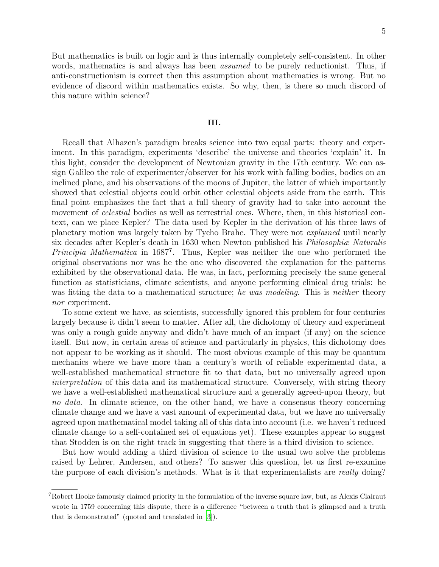But mathematics is built on logic and is thus internally completely self-consistent. In other words, mathematics is and always has been *assumed* to be purely reductionist. Thus, if anti-constructionism is correct then this assumption about mathematics is wrong. But no evidence of discord within mathematics exists. So why, then, is there so much discord of this nature within science?

## III.

Recall that Alhazen's paradigm breaks science into two equal parts: theory and experiment. In this paradigm, experiments 'describe' the universe and theories 'explain' it. In this light, consider the development of Newtonian gravity in the 17th century. We can assign Galileo the role of experimenter/observer for his work with falling bodies, bodies on an inclined plane, and his observations of the moons of Jupiter, the latter of which importantly showed that celestial objects could orbit other celestial objects aside from the earth. This final point emphasizes the fact that a full theory of gravity had to take into account the movement of *celestial* bodies as well as terrestrial ones. Where, then, in this historical context, can we place Kepler? The data used by Kepler in the derivation of his three laws of planetary motion was largely taken by Tycho Brahe. They were not explained until nearly six decades after Kepler's death in 1630 when Newton published his Philosophiæ Naturalis Principia Mathematica in 1687<sup>7</sup>. Thus, Kepler was neither the one who performed the original observations nor was he the one who discovered the explanation for the patterns exhibited by the observational data. He was, in fact, performing precisely the same general function as statisticians, climate scientists, and anyone performing clinical drug trials: he was fitting the data to a mathematical structure; he was modeling. This is neither theory nor experiment.

To some extent we have, as scientists, successfully ignored this problem for four centuries largely because it didn't seem to matter. After all, the dichotomy of theory and experiment was only a rough guide anyway and didn't have much of an impact (if any) on the science itself. But now, in certain areas of science and particularly in physics, this dichotomy does not appear to be working as it should. The most obvious example of this may be quantum mechanics where we have more than a century's worth of reliable experimental data, a well-established mathematical structure fit to that data, but no universally agreed upon interpretation of this data and its mathematical structure. Conversely, with string theory we have a well-established mathematical structure and a generally agreed-upon theory, but no data. In climate science, on the other hand, we have a consensus theory concerning climate change and we have a vast amount of experimental data, but we have no universally agreed upon mathematical model taking all of this data into account (i.e. we haven't reduced climate change to a self-contained set of equations yet). These examples appear to suggest that Stodden is on the right track in suggesting that there is a third division to science.

But how would adding a third division of science to the usual two solve the problems raised by Lehrer, Andersen, and others? To answer this question, let us first re-examine the purpose of each division's methods. What is it that experimentalists are really doing?

<sup>7</sup>Robert Hooke famously claimed priority in the formulation of the inverse square law, but, as Alexis Clairaut wrote in 1759 concerning this dispute, there is a difference "between a truth that is glimpsed and a truth that is demonstrated" (quoted and translated in [\[3\]](#page-7-13)).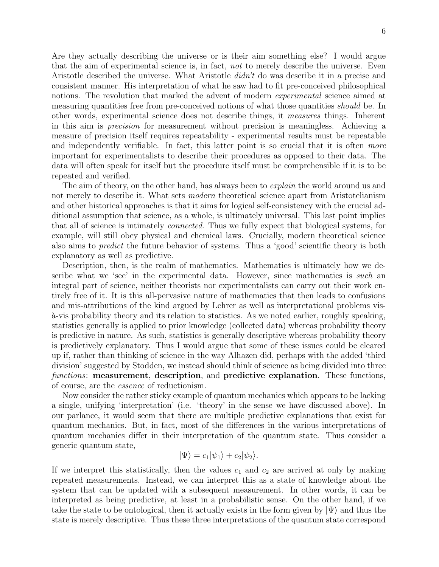6

Are they actually describing the universe or is their aim something else? I would argue that the aim of experimental science is, in fact, not to merely describe the universe. Even Aristotle described the universe. What Aristotle didn't do was describe it in a precise and consistent manner. His interpretation of what he saw had to fit pre-conceived philosophical notions. The revolution that marked the advent of modern *experimental* science aimed at measuring quantities free from pre-conceived notions of what those quantities *should* be. In other words, experimental science does not describe things, it measures things. Inherent in this aim is precision for measurement without precision is meaningless. Achieving a measure of precision itself requires repeatability - experimental results must be repeatable and independently verifiable. In fact, this latter point is so crucial that it is often more important for experimentalists to describe their procedures as opposed to their data. The data will often speak for itself but the procedure itself must be comprehensible if it is to be repeated and verified.

The aim of theory, on the other hand, has always been to *explain* the world around us and not merely to describe it. What sets *modern* theoretical science apart from Aristotelianism and other historical approaches is that it aims for logical self-consistency with the crucial additional assumption that science, as a whole, is ultimately universal. This last point implies that all of science is intimately connected. Thus we fully expect that biological systems, for example, will still obey physical and chemical laws. Crucially, modern theoretical science also aims to predict the future behavior of systems. Thus a 'good' scientific theory is both explanatory as well as predictive.

Description, then, is the realm of mathematics. Mathematics is ultimately how we describe what we 'see' in the experimental data. However, since mathematics is such an integral part of science, neither theorists nor experimentalists can carry out their work entirely free of it. It is this all-pervasive nature of mathematics that then leads to confusions and mis-attributions of the kind argued by Lehrer as well as interpretational problems vis- `a-vis probability theory and its relation to statistics. As we noted earlier, roughly speaking, statistics generally is applied to prior knowledge (collected data) whereas probability theory is predictive in nature. As such, statistics is generally descriptive whereas probability theory is predictively explanatory. Thus I would argue that some of these issues could be cleared up if, rather than thinking of science in the way Alhazen did, perhaps with the added 'third division' suggested by Stodden, we instead should think of science as being divided into three functions: measurement, description, and predictive explanation. These functions, of course, are the essence of reductionism.

Now consider the rather sticky example of quantum mechanics which appears to be lacking a single, unifying 'interpretation' (i.e. 'theory' in the sense we have discussed above). In our parlance, it would seem that there are multiple predictive explanations that exist for quantum mechanics. But, in fact, most of the differences in the various interpretations of quantum mechanics differ in their interpretation of the quantum state. Thus consider a generic quantum state,

$$
|\Psi\rangle = c_1|\psi_1\rangle + c_2|\psi_2\rangle.
$$

If we interpret this statistically, then the values  $c_1$  and  $c_2$  are arrived at only by making repeated measurements. Instead, we can interpret this as a state of knowledge about the system that can be updated with a subsequent measurement. In other words, it can be interpreted as being predictive, at least in a probabilistic sense. On the other hand, if we take the state to be ontological, then it actually exists in the form given by  $|\Psi\rangle$  and thus the state is merely descriptive. Thus these three interpretations of the quantum state correspond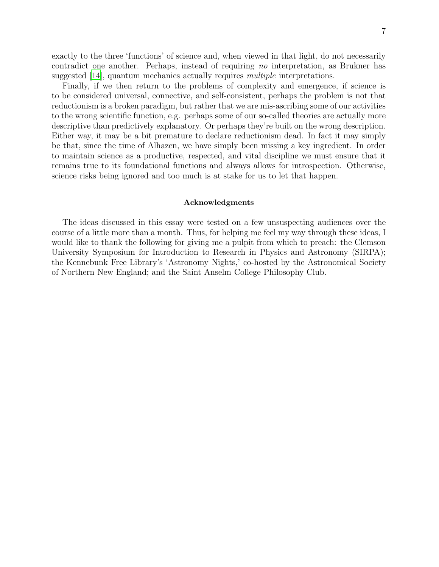exactly to the three 'functions' of science and, when viewed in that light, do not necessarily contradict one another. Perhaps, instead of requiring no interpretation, as Brukner has suggested [\[14\]](#page-7-14), quantum mechanics actually requires multiple interpretations.

Finally, if we then return to the problems of complexity and emergence, if science is to be considered universal, connective, and self-consistent, perhaps the problem is not that reductionism is a broken paradigm, but rather that we are mis-ascribing some of our activities to the wrong scientific function, e.g. perhaps some of our so-called theories are actually more descriptive than predictively explanatory. Or perhaps they're built on the wrong description. Either way, it may be a bit premature to declare reductionism dead. In fact it may simply be that, since the time of Alhazen, we have simply been missing a key ingredient. In order to maintain science as a productive, respected, and vital discipline we must ensure that it remains true to its foundational functions and always allows for introspection. Otherwise, science risks being ignored and too much is at stake for us to let that happen.

## Acknowledgments

The ideas discussed in this essay were tested on a few unsuspecting audiences over the course of a little more than a month. Thus, for helping me feel my way through these ideas, I would like to thank the following for giving me a pulpit from which to preach: the Clemson University Symposium for Introduction to Research in Physics and Astronomy (SIRPA); the Kennebunk Free Library's 'Astronomy Nights,' co-hosted by the Astronomical Society of Northern New England; and the Saint Anselm College Philosophy Club.